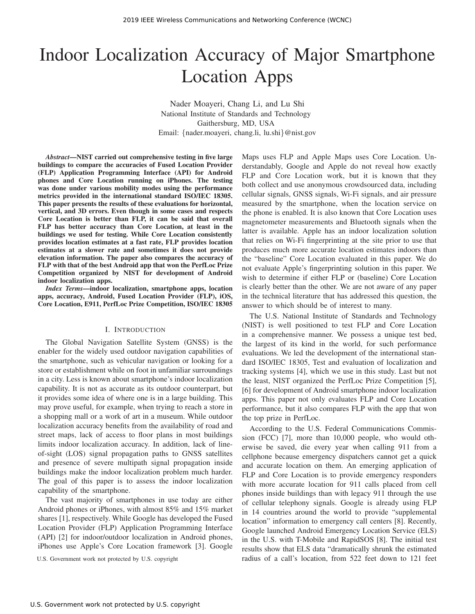# Indoor Localization Accuracy of Major Smartphone Location Apps

Nader Moayeri, Chang Li, and Lu Shi National Institute of Standards and Technology Gaithersburg, MD, USA Email: {nader.moayeri, chang.li, lu.shi}@nist.gov

*Abstract*—NIST carried out comprehensive testing in five large buildings to compare the accuracies of Fused Location Provider (FLP) Application Programming Interface (API) for Android phones and Core Location running on iPhones. The testing was done under various mobility modes using the performance metrics provided in the international standard ISO/IEC 18305. This paper presents the results of these evaluations for horizontal, vertical, and 3D errors. Even though in some cases and respects Core Location is better than FLP, it can be said that overall FLP has better accuracy than Core Location, at least in the buildings we used for testing. While Core Location consistently provides location estimates at a fast rate, FLP provides location estimates at a slower rate and sometimes it does not provide elevation information. The paper also compares the accuracy of FLP with that of the best Android app that won the PerfLoc Prize Competition organized by NIST for development of Android indoor localization apps.

*Index Terms*—indoor localization, smartphone apps, location apps, accuracy, Android, Fused Location Provider (FLP), iOS, Core Location, E911, PerfLoc Prize Competition, ISO/IEC 18305

### I. INTRODUCTION

The Global Navigation Satellite System (GNSS) is the enabler for the widely used outdoor navigation capabilities of the smartphone, such as vehicular navigation or looking for a store or establishment while on foot in unfamiliar surroundings in a city. Less is known about smartphone's indoor localization capability. It is not as accurate as its outdoor counterpart, but it provides some idea of where one is in a large building. This may prove useful, for example, when trying to reach a store in a shopping mall or a work of art in a museum. While outdoor localization accuracy benefits from the availability of road and street maps, lack of access to floor plans in most buildings limits indoor localization accuracy. In addition, lack of lineof-sight (LOS) signal propagation paths to GNSS satellites and presence of severe multipath signal propagation inside buildings make the indoor localization problem much harder. The goal of this paper is to assess the indoor localization capability of the smartphone.

The vast majority of smartphones in use today are either Android phones or iPhones, with almost 85% and 15% market shares [1], respectively. While Google has developed the Fused Location Provider (FLP) Application Programming Interface (API) [2] for indoor/outdoor localization in Android phones, iPhones use Apple's Core Location framework [3]. Google

Maps uses FLP and Apple Maps uses Core Location. Understandably, Google and Apple do not reveal how exactly FLP and Core Location work, but it is known that they both collect and use anonymous crowdsourced data, including cellular signals, GNSS signals, Wi-Fi signals, and air pressure measured by the smartphone, when the location service on the phone is enabled. It is also known that Core Location uses magnetometer measurements and Bluetooth signals when the latter is available. Apple has an indoor localization solution that relies on Wi-Fi fingerprinting at the site prior to use that produces much more accurate location estimates indoors than the "baseline" Core Location evaluated in this paper. We do not evaluate Apple's fingerprinting solution in this paper. We wish to determine if either FLP or (baseline) Core Location is clearly better than the other. We are not aware of any paper in the technical literature that has addressed this question, the answer to which should be of interest to many.

The U.S. National Institute of Standards and Technology (NIST) is well positioned to test FLP and Core Location in a comprehensive manner. We possess a unique test bed, the largest of its kind in the world, for such performance evaluations. We led the development of the international standard ISO/IEC 18305, Test and evaluation of localization and tracking systems [4], which we use in this study. Last but not the least, NIST organized the PerfLoc Prize Competition [5], [6] for development of Android smartphone indoor localization apps. This paper not only evaluates FLP and Core Location performance, but it also compares FLP with the app that won the top prize in PerfLoc.

According to the U.S. Federal Communications Commission (FCC) [7], more than 10,000 people, who would otherwise be saved, die every year when calling 911 from a cellphone because emergency dispatchers cannot get a quick and accurate location on them. An emerging application of FLP and Core Location is to provide emergency responders with more accurate location for 911 calls placed from cell phones inside buildings than with legacy 911 through the use of cellular telephony signals. Google is already using FLP in 14 countries around the world to provide "supplemental location" information to emergency call centers [8]. Recently, Google launched Android Emergency Location Service (ELS) in the U.S. with T-Mobile and RapidSOS [8]. The initial test results show that ELS data "dramatically shrunk the estimated U.S. Government work not protected by U.S. copyright radius of a call's location, from 522 feet down to 121 feet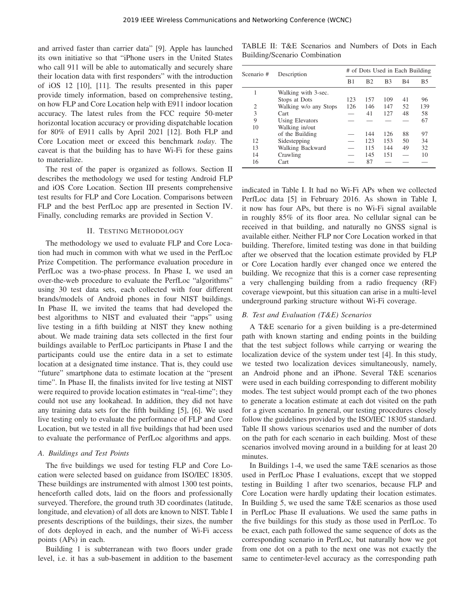and arrived faster than carrier data" [9]. Apple has launched its own initiative so that "iPhone users in the United States who call 911 will be able to automatically and securely share their location data with first responders" with the introduction of iOS 12 [10], [11]. The results presented in this paper provide timely information, based on comprehensive testing, on how FLP and Core Location help with E911 indoor location accuracy. The latest rules from the FCC require 50-meter horizontal location accuracy or providing dispatchable location for 80% of E911 calls by April 2021 [12]. Both FLP and Core Location meet or exceed this benchmark *today*. The caveat is that the building has to have Wi-Fi for these gains to materialize.

The rest of the paper is organized as follows. Section II describes the methodology we used for testing Android FLP and iOS Core Location. Section III presents comprehensive test results for FLP and Core Location. Comparisons between FLP and the best PerfLoc app are presented in Section IV. Finally, concluding remarks are provided in Section V.

## II. TESTING METHODOLOGY

The methodology we used to evaluate FLP and Core Location had much in common with what we used in the PerfLoc Prize Competition. The performance evaluation procedure in PerfLoc was a two-phase process. In Phase I, we used an over-the-web procedure to evaluate the PerfLoc "algorithms" using 30 test data sets, each collected with four different brands/models of Android phones in four NIST buildings. In Phase II, we invited the teams that had developed the best algorithms to NIST and evaluated their "apps" using live testing in a fifth building at NIST they knew nothing about. We made training data sets collected in the first four buildings available to PerfLoc participants in Phase I and the participants could use the entire data in a set to estimate location at a designated time instance. That is, they could use "future" smartphone data to estimate location at the "present time". In Phase II, the finalists invited for live testing at NIST were required to provide location estimates in "real-time"; they could not use any lookahead. In addition, they did not have any training data sets for the fifth building [5], [6]. We used live testing only to evaluate the performance of FLP and Core Location, but we tested in all five buildings that had been used to evaluate the performance of PerfLoc algorithms and apps.

#### *A. Buildings and Test Points*

The five buildings we used for testing FLP and Core Location were selected based on guidance from ISO/IEC 18305. These buildings are instrumented with almost 1300 test points, henceforth called dots, laid on the floors and professionally surveyed. Therefore, the ground truth 3D coordinates (latitude, longitude, and elevation) of all dots are known to NIST. Table I presents descriptions of the buildings, their sizes, the number of dots deployed in each, and the number of Wi-Fi access points (APs) in each.

Building 1 is subterranean with two floors under grade level, i.e. it has a sub-basement in addition to the basement

TABLE II: T&E Scenarios and Numbers of Dots in Each Building/Scenario Combination

| Scenario # | Description            | # of Dots Used in Each Building |                |                |                |                |  |
|------------|------------------------|---------------------------------|----------------|----------------|----------------|----------------|--|
|            |                        | B <sub>1</sub>                  | B <sub>2</sub> | B <sub>3</sub> | B <sub>4</sub> | B <sub>5</sub> |  |
| 1          | Walking with 3-sec.    |                                 |                |                |                |                |  |
|            | Stops at Dots          | 123                             | 157            | 109            | 41             | 96             |  |
| 2          | Walking w/o any Stops  | 126                             | 146            | 147            | 52             | 139            |  |
| 3          | Cart                   | -                               | 41             | 127            | 48             | 58             |  |
| 9          | <b>Using Elevators</b> |                                 |                |                |                | 67             |  |
| 10         | Walking in/out         |                                 |                |                |                |                |  |
|            | of the Building        |                                 | 144            | 126            | 88             | 97             |  |
| 12         | Sidestepping           |                                 | 123            | 153            | 50             | 34             |  |
| 13         | Walking Backward       |                                 | 115            | 144            | 49             | 32             |  |
| 14         | Crawling               |                                 | 145            | 151            |                | 10             |  |
| 16         | Cart                   |                                 | 87             |                |                |                |  |

indicated in Table I. It had no Wi-Fi APs when we collected PerfLoc data [5] in February 2016. As shown in Table I, it now has four APs, but there is no Wi-Fi signal available in roughly 85% of its floor area. No cellular signal can be received in that building, and naturally no GNSS signal is available either. Neither FLP nor Core Location worked in that building. Therefore, limited testing was done in that building after we observed that the location estimate provided by FLP or Core Location hardly ever changed once we entered the building. We recognize that this is a corner case representing a very challenging building from a radio frequency (RF) coverage viewpoint, but this situation can arise in a multi-level underground parking structure without Wi-Fi coverage.

# *B. Test and Evaluation (T&E) Scenarios*

A T&E scenario for a given building is a pre-determined path with known starting and ending points in the building that the test subject follows while carrying or wearing the localization device of the system under test [4]. In this study, we tested two localization devices simultaneously, namely, an Android phone and an iPhone. Several T&E scenarios were used in each building corresponding to different mobility modes. The test subject would prompt each of the two phones to generate a location estimate at each dot visited on the path for a given scenario. In general, our testing procedures closely follow the guidelines provided by the ISO/IEC 18305 standard. Table II shows various scenarios used and the number of dots on the path for each scenario in each building. Most of these scenarios involved moving around in a building for at least 20 minutes.

In Buildings 1-4, we used the same T&E scenarios as those used in PerfLoc Phase I evaluations, except that we stopped testing in Building 1 after two scenarios, because FLP and Core Location were hardly updating their location estimates. In Building 5, we used the same T&E scenarios as those used in PerfLoc Phase II evaluations. We used the same paths in the five buildings for this study as those used in PerfLoc. To be exact, each path followed the same sequence of dots as the corresponding scenario in PerfLoc, but naturally how we got from one dot on a path to the next one was not exactly the same to centimeter-level accuracy as the corresponding path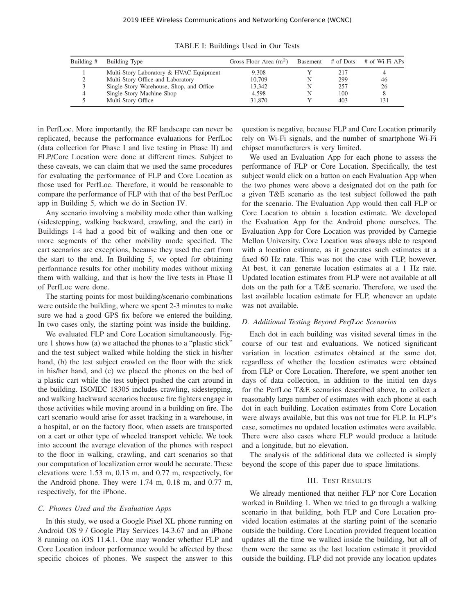| Building # | Building Type                            | Gross Floor Area $(m2)$ |   | Basement # of Dots | # of Wi-Fi APs |
|------------|------------------------------------------|-------------------------|---|--------------------|----------------|
|            | Multi-Story Laboratory & HVAC Equipment  | 9.308                   |   | 217                |                |
|            | Multi-Story Office and Laboratory        | 10.709                  | N | 299                | 46             |
|            | Single-Story Warehouse, Shop, and Office | 13.342                  | N | 257                | 26             |
|            | Single-Story Machine Shop                | 4.598                   |   | 100                | 8              |
|            | Multi-Story Office                       | 31,870                  |   | 403                | 131            |

TABLE I: Buildings Used in Our Tests

in PerfLoc. More importantly, the RF landscape can never be replicated, because the performance evaluations for PerfLoc (data collection for Phase I and live testing in Phase II) and FLP/Core Location were done at different times. Subject to these caveats, we can claim that we used the same procedures for evaluating the performance of FLP and Core Location as those used for PerfLoc. Therefore, it would be reasonable to compare the performance of FLP with that of the best PerfLoc app in Building 5, which we do in Section IV.

Any scenario involving a mobility mode other than walking (sidestepping, walking backward, crawling, and the cart) in Buildings 1-4 had a good bit of walking and then one or more segments of the other mobility mode specified. The cart scenarios are exceptions, because they used the cart from the start to the end. In Building 5, we opted for obtaining performance results for other mobility modes without mixing them with walking, and that is how the live tests in Phase II of PerfLoc were done.

The starting points for most building/scenario combinations were outside the building, where we spent 2-3 minutes to make sure we had a good GPS fix before we entered the building. In two cases only, the starting point was inside the building.

We evaluated FLP and Core Location simultaneously. Figure 1 shows how (a) we attached the phones to a "plastic stick" and the test subject walked while holding the stick in his/her hand, (b) the test subject crawled on the floor with the stick in his/her hand, and (c) we placed the phones on the bed of a plastic cart while the test subject pushed the cart around in the building. ISO/IEC 18305 includes crawling, sidestepping, and walking backward scenarios because fire fighters engage in those activities while moving around in a building on fire. The cart scenario would arise for asset tracking in a warehouse, in a hospital, or on the factory floor, when assets are transported on a cart or other type of wheeled transport vehicle. We took into account the average elevation of the phones with respect to the floor in walking, crawling, and cart scenarios so that our computation of localization error would be accurate. These elevations were 1.53 m, 0.13 m, and 0.77 m, respectively, for the Android phone. They were 1.74 m, 0.18 m, and 0.77 m, respectively, for the iPhone.

#### *C. Phones Used and the Evaluation Apps*

In this study, we used a Google Pixel XL phone running on Android OS 9 / Google Play Services 14.3.67 and an iPhone 8 running on iOS 11.4.1. One may wonder whether FLP and Core Location indoor performance would be affected by these specific choices of phones. We suspect the answer to this question is negative, because FLP and Core Location primarily rely on Wi-Fi signals, and the number of smartphone Wi-Fi chipset manufacturers is very limited.

We used an Evaluation App for each phone to assess the performance of FLP or Core Location. Specifically, the test subject would click on a button on each Evaluation App when the two phones were above a designated dot on the path for a given T&E scenario as the test subject followed the path for the scenario. The Evaluation App would then call FLP or Core Location to obtain a location estimate. We developed the Evaluation App for the Android phone ourselves. The Evaluation App for Core Location was provided by Carnegie Mellon University. Core Location was always able to respond with a location estimate, as it generates such estimates at a fixed 60 Hz rate. This was not the case with FLP, however. At best, it can generate location estimates at a 1 Hz rate. Updated location estimates from FLP were not available at all dots on the path for a T&E scenario. Therefore, we used the last available location estimate for FLP, whenever an update was not available.

## *D. Additional Testing Beyond PerfLoc Scenarios*

Each dot in each building was visited several times in the course of our test and evaluations. We noticed significant variation in location estimates obtained at the same dot, regardless of whether the location estimates were obtained from FLP or Core Location. Therefore, we spent another ten days of data collection, in addition to the initial ten days for the PerfLoc T&E scenarios described above, to collect a reasonably large number of estimates with each phone at each dot in each building. Location estimates from Core Location were always available, but this was not true for FLP. In FLP's case, sometimes no updated location estimates were available. There were also cases where FLP would produce a latitude and a longitude, but no elevation.

The analysis of the additional data we collected is simply beyond the scope of this paper due to space limitations.

## III. TEST RESULTS

We already mentioned that neither FLP nor Core Location worked in Building 1. When we tried to go through a walking scenario in that building, both FLP and Core Location provided location estimates at the starting point of the scenario outside the building. Core Location provided frequent location updates all the time we walked inside the building, but all of them were the same as the last location estimate it provided outside the building. FLP did not provide any location updates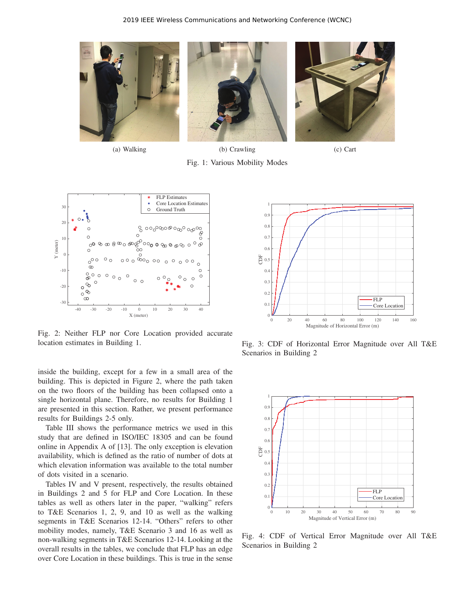

(a) Walking (b) Crawling (c) Cart Fig. 1: Various Mobility Modes



Fig. 2: Neither FLP nor Core Location provided accurate location estimates in Building 1.

inside the building, except for a few in a small area of the building. This is depicted in Figure 2, where the path taken on the two floors of the building has been collapsed onto a single horizontal plane. Therefore, no results for Building 1 are presented in this section. Rather, we present performance results for Buildings 2-5 only.

Table III shows the performance metrics we used in this study that are defined in ISO/IEC 18305 and can be found online in Appendix A of [13]. The only exception is elevation availability, which is defined as the ratio of number of dots at which elevation information was available to the total number of dots visited in a scenario.

Tables IV and V present, respectively, the results obtained in Buildings 2 and 5 for FLP and Core Location. In these tables as well as others later in the paper, "walking" refers to T&E Scenarios 1, 2, 9, and 10 as well as the walking segments in T&E Scenarios 12-14. "Others" refers to other mobility modes, namely, T&E Scenario 3 and 16 as well as non-walking segments in T&E Scenarios 12-14. Looking at the overall results in the tables, we conclude that FLP has an edge over Core Location in these buildings. This is true in the sense



Fig. 3: CDF of Horizontal Error Magnitude over All T&E Scenarios in Building 2



Fig. 4: CDF of Vertical Error Magnitude over All T&E Scenarios in Building 2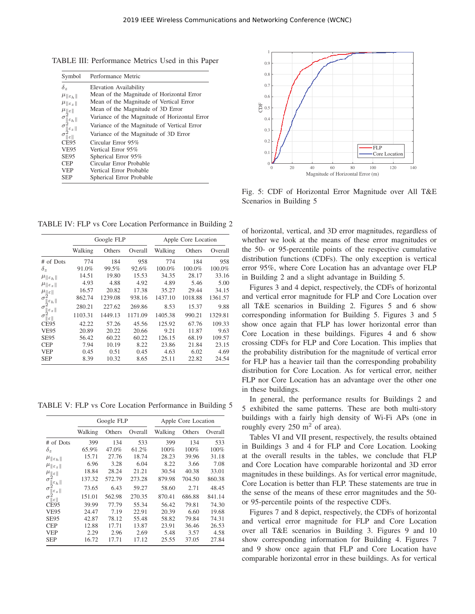TABLE III: Performance Metrics Used in this Paper

| Symbol                                                                                                                                                                                                                                 | Performance Metric                            |
|----------------------------------------------------------------------------------------------------------------------------------------------------------------------------------------------------------------------------------------|-----------------------------------------------|
| $\delta_z$                                                                                                                                                                                                                             | Elevation Availability                        |
| $\mu_{\ \varepsilon_h\ }$                                                                                                                                                                                                              | Mean of the Magnitude of Horizontal Error     |
| $\mu_{\ \varepsilon_z\ }$                                                                                                                                                                                                              | Mean of the Magnitude of Vertical Error       |
|                                                                                                                                                                                                                                        | Mean of the Magnitude of 3D Error             |
| $\begin{array}{l} \mu_{\left\Vert \varepsilon\right\Vert }\\ \sigma_{\left\Vert \varepsilon_{h}\right\Vert }^{2}\\ \sigma_{\left\Vert \varepsilon_{z}\right\Vert }^{2}\\ \sigma_{\left\Vert \varepsilon\right\Vert }^{2} \end{array}%$ | Variance of the Magnitude of Horizontal Error |
|                                                                                                                                                                                                                                        | Variance of the Magnitude of Vertical Error   |
|                                                                                                                                                                                                                                        | Variance of the Magnitude of 3D Error         |
| CE95                                                                                                                                                                                                                                   | Circular Error 95%                            |
| <b>VE95</b>                                                                                                                                                                                                                            | Vertical Error 95%                            |
| <b>SE95</b>                                                                                                                                                                                                                            | Spherical Error 95%                           |
| CEP                                                                                                                                                                                                                                    | Circular Error Probable                       |
| <b>VEP</b>                                                                                                                                                                                                                             | Vertical Error Probable                       |
| SEP                                                                                                                                                                                                                                    | Spherical Error Probable                      |

TABLE IV: FLP vs Core Location Performance in Building 2

|                                                                                                               |         | Google FLP |         | Apple Core Location |         |         |  |
|---------------------------------------------------------------------------------------------------------------|---------|------------|---------|---------------------|---------|---------|--|
|                                                                                                               | Walking | Others     | Overall | Walking             | Others  | Overall |  |
| # of Dots                                                                                                     | 774     | 184        | 958     | 774                 | 184     | 958     |  |
| $\delta_z$                                                                                                    | 91.0%   | 99.5%      | 92.6%   | 100.0%              | 100.0%  | 100.0%  |  |
| $\mu_{\ \varepsilon_h\ }$                                                                                     | 14.51   | 19.80      | 15.53   | 34.35               | 28.17   | 33.16   |  |
| $\mu_{\ \varepsilon_z\ }$                                                                                     | 4.93    | 4.88       | 4.92    | 4.89                | 5.46    | 5.00    |  |
| $\mu_{\parallel\varepsilon\parallel}$                                                                         | 16.57   | 20.82      | 17.38   | 35.27               | 29.44   | 34.15   |  |
| $\sigma_{\ \varepsilon_h\ }^2$                                                                                | 862.74  | 1239.08    | 938.16  | 1437.10             | 1018.88 | 1361.57 |  |
| $\sigma$                                                                                                      | 280.21  | 227.62     | 269.86  | 8.53                | 15.37   | 9.88    |  |
| $\ \varepsilon_z\ $<br>$\sigma^{\scriptscriptstyle{a}}_{\parallel \scriptscriptstyle{\mathcal{E}} \parallel}$ | 1103.31 | 1449.13    | 1171.09 | 1405.38             | 990.21  | 1329.81 |  |
| CE95                                                                                                          | 42.22   | 57.26      | 45.56   | 125.92              | 67.76   | 109.33  |  |
| <b>VE95</b>                                                                                                   | 20.89   | 20.22      | 20.66   | 9.21                | 11.87   | 9.63    |  |
| <b>SE95</b>                                                                                                   | 56.42   | 60.22      | 60.22   | 126.15              | 68.19   | 109.57  |  |
| <b>CEP</b>                                                                                                    | 7.94    | 10.19      | 8.22    | 23.86               | 21.84   | 23.15   |  |
| <b>VEP</b>                                                                                                    | 0.45    | 0.51       | 0.45    | 4.63                | 6.02    | 4.69    |  |
| <b>SEP</b>                                                                                                    | 8.39    | 10.32      | 8.65    | 25.11               | 22.82   | 24.54   |  |

TABLE V: FLP vs Core Location Performance in Building 5

|                                                                                                                                                                                  |         | Google FLP |         | Apple Core Location |         |         |  |
|----------------------------------------------------------------------------------------------------------------------------------------------------------------------------------|---------|------------|---------|---------------------|---------|---------|--|
|                                                                                                                                                                                  | Walking | Others     | Overall | Walking             | Others  | Overall |  |
| # of Dots                                                                                                                                                                        | 399     | 134        | 533     | 399                 | 134     | 533     |  |
| $\delta_z$                                                                                                                                                                       | 65.9%   | 47.0%      | 61.2%   | 100%                | $100\%$ | 100%    |  |
| $\mu_{\ \varepsilon_h\ }$                                                                                                                                                        | 15.71   | 27.76      | 18.74   | 28.23               | 39.96   | 31.18   |  |
| $\mu_{\ \varepsilon_z\ }$                                                                                                                                                        | 6.96    | 3.28       | 6.04    | 8.22                | 3.66    | 7.08    |  |
|                                                                                                                                                                                  | 18.84   | 28.24      | 21.21   | 30.54               | 40.38   | 33.01   |  |
|                                                                                                                                                                                  | 137.32  | 572.79     | 273.28  | 879.98              | 704.50  | 860.38  |  |
|                                                                                                                                                                                  | 73.65   | 6.43       | 59.27   | 58.60               | 2.71    | 48.45   |  |
| $\begin{array}{c} \mu_{\ \varepsilon\ } \\ \sigma_{\ \varepsilon_h\ }^2 \\ \sigma_{\ \varepsilon_z\ }^2 \\ \sigma_{\ \varepsilon\ }^2 \\ \sigma_{\ \varepsilon\ }^2 \end{array}$ | 151.01  | 562.98     | 270.35  | 870.41              | 686.88  | 841.14  |  |
| CE95                                                                                                                                                                             | 39.99   | 77.79      | 55.34   | 56.42               | 79.81   | 74.30   |  |
| <b>VE95</b>                                                                                                                                                                      | 24.47   | 7.19       | 22.91   | 20.39               | 6.60    | 19.68   |  |
| <b>SE95</b>                                                                                                                                                                      | 42.87   | 78.12      | 55.48   | 58.82               | 79.84   | 74.31   |  |
| <b>CEP</b>                                                                                                                                                                       | 12.88   | 17.71      | 13.87   | 23.91               | 36.46   | 26.53   |  |
| <b>VEP</b>                                                                                                                                                                       | 2.29    | 2.96       | 2.69    | 5.48                | 3.57    | 4.58    |  |
| <b>SEP</b>                                                                                                                                                                       | 16.72   | 17.71      | 17.12   | 25.55               | 37.05   | 27.84   |  |



Fig. 5: CDF of Horizontal Error Magnitude over All T&E Scenarios in Building 5

of horizontal, vertical, and 3D error magnitudes, regardless of whether we look at the means of these error magnitudes or the 50- or 95-percentile points of the respective cumulative distribution functions (CDFs). The only exception is vertical error 95%, where Core Location has an advantage over FLP in Building 2 and a slight advantage in Building 5.

Figures 3 and 4 depict, respectively, the CDFs of horizontal and vertical error magnitude for FLP and Core Location over all T&E scenarios in Building 2. Figures 5 and 6 show corresponding information for Building 5. Figures 3 and 5 show once again that FLP has lower horizontal error than Core Location in these buildings. Figures 4 and 6 show crossing CDFs for FLP and Core Location. This implies that the probability distribution for the magnitude of vertical error for FLP has a heavier tail than the corresponding probability distribution for Core Location. As for vertical error, neither FLP nor Core Location has an advantage over the other one in these buildings.

In general, the performance results for Buildings 2 and 5 exhibited the same patterns. These are both multi-story buildings with a fairly high density of Wi-Fi APs (one in roughly every  $250 \text{ m}^2$  of area).

Tables VI and VII present, respectively, the results obtained in Buildings 3 and 4 for FLP and Core Location. Looking at the overall results in the tables, we conclude that FLP and Core Location have comparable horizontal and 3D error magnitudes in these buildings. As for vertical error magnitude, Core Location is better than FLP. These statements are true in the sense of the means of these error magnitudes and the 50 or 95-percentile points of the respective CDFs.

Figures 7 and 8 depict, respectively, the CDFs of horizontal and vertical error magnitude for FLP and Core Location over all T&E scenarios in Building 3. Figures 9 and 10 show corresponding information for Building 4. Figures 7 and 9 show once again that FLP and Core Location have comparable horizontal error in these buildings. As for vertical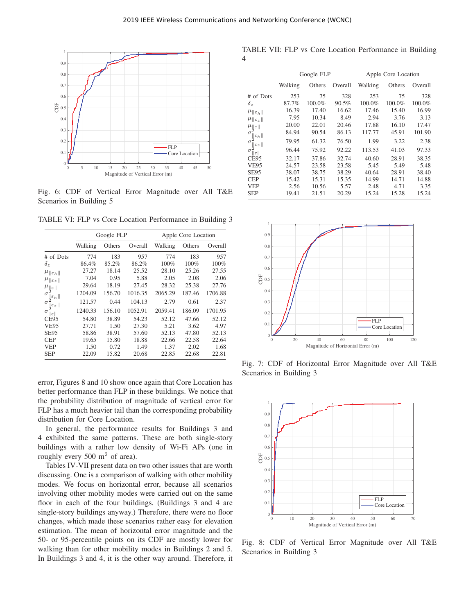

Fig. 6: CDF of Vertical Error Magnitude over All T&E Scenarios in Building 5

TABLE VI: FLP vs Core Location Performance in Building 3

|                                            | Google FLP<br>Apple Core Location |        |         |         |        |         |
|--------------------------------------------|-----------------------------------|--------|---------|---------|--------|---------|
|                                            | Walking                           | Others | Overall | Walking | Others | Overall |
| # of Dots                                  | 774                               | 183    | 957     | 774     | 183    | 957     |
| $\delta_z$                                 | 86.4%                             | 85.2%  | 86.2%   | 100%    | 100%   | 100%    |
| $\mu_{\ \varepsilon_h\ }$                  | 27.27                             | 18.14  | 25.52   | 28.10   | 25.26  | 27.55   |
| $\mu_{\parallel \varepsilon_z \parallel}$  | 7.04                              | 0.95   | 5.88    | 2.05    | 2.08   | 2.06    |
| $\mu_{\parallel\varepsilon\parallel}$      | 29.64                             | 18.19  | 27.45   | 28.32   | 25.38  | 27.76   |
| $\sigma$<br>$\left\ \varepsilon_h\right\ $ | 1204.09                           | 156.70 | 1016.35 | 2065.29 | 187.46 | 1706.88 |
| $\sigma$<br>$\ \varepsilon_z\ $            | 121.57                            | 0.44   | 104.13  | 2.79    | 0.61   | 2.37    |
| σ<br>$\ \varepsilon\ $                     | 1240.33                           | 156.10 | 1052.91 | 2059.41 | 186.09 | 1701.95 |
| CE95                                       | 54.80                             | 38.89  | 54.23   | 52.12   | 47.66  | 52.12   |
| <b>VE95</b>                                | 27.71                             | 1.50   | 27.30   | 5.21    | 3.62   | 4.97    |
| <b>SE95</b>                                | 58.86                             | 38.91  | 57.60   | 52.13   | 47.80  | 52.13   |
| <b>CEP</b>                                 | 19.65                             | 15.80  | 18.88   | 22.66   | 22.58  | 22.64   |
| <b>VEP</b>                                 | 1.50                              | 0.72   | 1.49    | 1.37    | 2.02   | 1.68    |
| <b>SEP</b>                                 | 22.09                             | 15.82  | 20.68   | 22.85   | 22.68  | 22.81   |

error, Figures 8 and 10 show once again that Core Location has better performance than FLP in these buildings. We notice that the probability distribution of magnitude of vertical error for FLP has a much heavier tail than the corresponding probability distribution for Core Location.

In general, the performance results for Buildings 3 and 4 exhibited the same patterns. These are both single-story buildings with a rather low density of Wi-Fi APs (one in roughly every 500  $m<sup>2</sup>$  of area).

Tables IV-VII present data on two other issues that are worth discussing. One is a comparison of walking with other mobility modes. We focus on horizontal error, because all scenarios involving other mobility modes were carried out on the same floor in each of the four buildings. (Buildings 3 and 4 are single-story buildings anyway.) Therefore, there were no floor changes, which made these scenarios rather easy for elevation estimation. The mean of horizontal error magnitude and the 50- or 95-percentile points on its CDF are mostly lower for walking than for other mobility modes in Buildings 2 and 5. In Buildings 3 and 4, it is the other way around. Therefore, it

TABLE VII: FLP vs Core Location Performance in Building 4

|                                           |         | Google FLP |         | Apple Core Location |        |         |  |
|-------------------------------------------|---------|------------|---------|---------------------|--------|---------|--|
|                                           | Walking | Others     | Overall | Walking             | Others | Overall |  |
| # of Dots                                 | 253     | 75         | 328     | 253                 | 75     | 328     |  |
| $\delta_z$                                | 87.7%   | 100.0%     | 90.5%   | 100.0%              | 100.0% | 100.0%  |  |
| $\mu_{\ \varepsilon_h\ }$                 | 16.39   | 17.40      | 16.62   | 17.46               | 15.40  | 16.99   |  |
| $\mu_{\parallel \varepsilon_z \parallel}$ | 7.95    | 10.34      | 8.49    | 2.94                | 3.76   | 3.13    |  |
| $\mu_{\ \varepsilon\ }$                   | 20.00   | 22.01      | 20.46   | 17.88               | 16.10  | 17.47   |  |
| σí<br>$\ \varepsilon_h\ $                 | 84.94   | 90.54      | 86.13   | 117.77              | 45.91  | 101.90  |  |
| $\sigma^*_{\parallel}$<br>$\varepsilon_z$ | 79.95   | 61.32      | 76.50   | 1.99                | 3.22   | 2.38    |  |
| $\sigma^*_{\ \varepsilon\ }$              | 96.44   | 75.92      | 92.22   | 113.53              | 41.03  | 97.33   |  |
| CE95                                      | 32.17   | 37.86      | 32.74   | 40.60               | 28.91  | 38.35   |  |
| <b>VE95</b>                               | 24.57   | 23.58      | 23.58   | 5.45                | 5.49   | 5.48    |  |
| <b>SE95</b>                               | 38.07   | 38.75      | 38.29   | 40.64               | 28.91  | 38.40   |  |
| <b>CEP</b>                                | 15.42   | 15.31      | 15.35   | 14.99               | 14.71  | 14.88   |  |
| <b>VEP</b>                                | 2.56    | 10.56      | 5.57    | 2.48                | 4.71   | 3.35    |  |
| <b>SEP</b>                                | 19.41   | 21.51      | 20.29   | 15.24               | 15.28  | 15.24   |  |



Fig. 7: CDF of Horizontal Error Magnitude over All T&E Scenarios in Building 3



Fig. 8: CDF of Vertical Error Magnitude over All T&E Scenarios in Building 3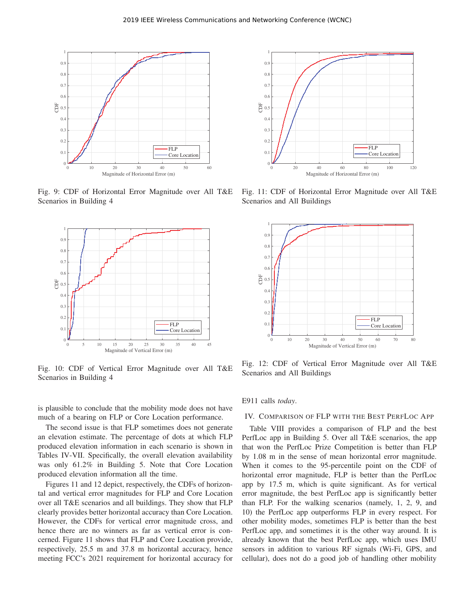

Fig. 9: CDF of Horizontal Error Magnitude over All T&E Scenarios in Building 4



Fig. 10: CDF of Vertical Error Magnitude over All T&E Scenarios in Building 4

is plausible to conclude that the mobility mode does not have much of a bearing on FLP or Core Location performance.

The second issue is that FLP sometimes does not generate an elevation estimate. The percentage of dots at which FLP produced elevation information in each scenario is shown in Tables IV-VII. Specifically, the overall elevation availability was only 61.2% in Building 5. Note that Core Location produced elevation information all the time.

Figures 11 and 12 depict, respectively, the CDFs of horizontal and vertical error magnitudes for FLP and Core Location over all T&E scenarios and all buildings. They show that FLP clearly provides better horizontal accuracy than Core Location. However, the CDFs for vertical error magnitude cross, and hence there are no winners as far as vertical error is concerned. Figure 11 shows that FLP and Core Location provide, respectively, 25.5 m and 37.8 m horizontal accuracy, hence meeting FCC's 2021 requirement for horizontal accuracy for



Fig. 11: CDF of Horizontal Error Magnitude over All T&E Scenarios and All Buildings



Fig. 12: CDF of Vertical Error Magnitude over All T&E Scenarios and All Buildings

E911 calls *today*.

## IV. COMPARISON OF FLP WITH THE BEST PERFLOC APP

Table VIII provides a comparison of FLP and the best PerfLoc app in Building 5. Over all T&E scenarios, the app that won the PerfLoc Prize Competition is better than FLP by 1.08 m in the sense of mean horizontal error magnitude. When it comes to the 95-percentile point on the CDF of horizontal error magnitude, FLP is better than the PerfLoc app by 17.5 m, which is quite significant. As for vertical error magnitude, the best PerfLoc app is significantly better than FLP. For the walking scenarios (namely, 1, 2, 9, and 10) the PerfLoc app outperforms FLP in every respect. For other mobility modes, sometimes FLP is better than the best PerfLoc app, and sometimes it is the other way around. It is already known that the best PerfLoc app, which uses IMU sensors in addition to various RF signals (Wi-Fi, GPS, and cellular), does not do a good job of handling other mobility